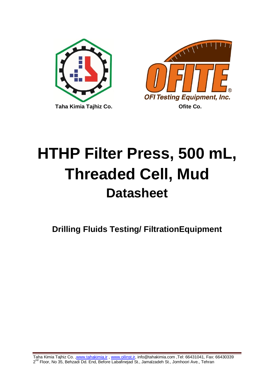



# **HTHP Filter Press, 500 mL, Threaded Cell, Mud Datasheet**

**Drilling Fluids Testing/ FiltrationEquipment**

Taha Kimia Tajhiz Co. [,www.tahakimia.ir](http://www.tahakimia.ir/) , [www.oilinst.ir,](http://www.oilinst.ir/) info@tahakimia.com ,Tel: 66431041, Fax: 66430339 2<sup>nd</sup> Floor, No 35, Behzadi Dd. End, Before Labafinejad St., Jamalzadeh St., Jomhoori Ave., Tehran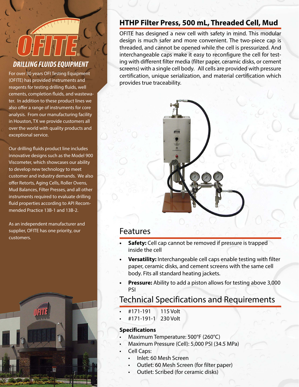# *DRILLING FLUIDS EQUIPMENT*

For over 30 years OFI Testing Equipment (OFITE) has provided instruments and reagents for testing drilling fluids, well cements, completion fluids, and wastewater. In addition to these product lines we also offer a range of instruments for core analysis. From our manufacturing facility in Houston, TX we provide customers all over the world with quality products and exceptional service.

Our drilling fluids product line includes innovative designs such as the Model 900 Viscometer, which showcases our ability to develop new technology to meet customer and industry demands. We also offer Retorts, Aging Cells, Roller Ovens, Mud Balances, Filter Presses, and all other instruments required to evaluate drilling fluid properties according to API Recommended Practice 13B-1 and 13B-2.

As an independent manufacturer and supplier, OFITE has one priority, our customers.



## **HTHP Filter Press, 500 mL, Threaded Cell, Mud**

OFITE has designed a new cell with safety in mind. This modular design is much safer and more convenient. The two-piece cap is threaded, and cannot be opened while the cell is pressurized. And interchangeable caps make it easy to reconfigure the cell for testing with different filter media (filter paper, ceramic disks, or cement screens) with a single cell body. All cells are provided with pressure certification, unique serialization, and material certification which provides true traceability.



## Features

- **Safety:** Cell cap cannot be removed if pressure is trapped inside the cell
- **Versatility:** Interchangeable cell caps enable testing with filter paper, ceramic disks, and cement screens with the same cell body. Fits all standard heating jackets.
- **Pressure:** Ability to add a piston allows for testing above 3,000 PSI

## Technical Specifications and Requirements

- • #171-191 115 Volt
- • #171-191-1 230 Volt

#### **Specifications**

- Maximum Temperature: 500°F (260°C)
- Maximum Pressure (Cell): 5,000 PSI (34.5 MPa)
- Cell Caps:
	- Inlet: 60 Mesh Screen
	- Outlet: 60 Mesh Screen (for filter paper)
	- Outlet: Scribed (for ceramic disks)